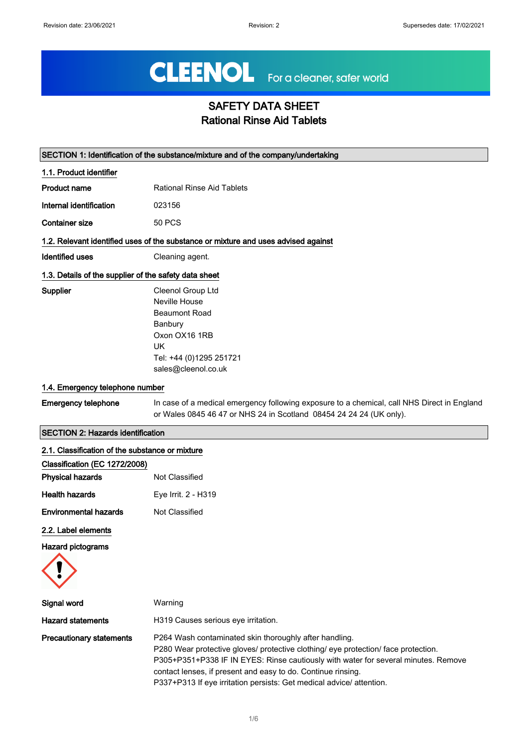# CLEENOL For a cleaner, safer world

# SAFETY DATA SHEET Rational Rinse Aid Tablets

|                                                       | SECTION 1: Identification of the substance/mixture and of the company/undertaking                                                                                  |
|-------------------------------------------------------|--------------------------------------------------------------------------------------------------------------------------------------------------------------------|
| 1.1. Product identifier                               |                                                                                                                                                                    |
| Product name                                          | <b>Rational Rinse Aid Tablets</b>                                                                                                                                  |
| Internal identification                               | 023156                                                                                                                                                             |
| <b>Container size</b>                                 | <b>50 PCS</b>                                                                                                                                                      |
|                                                       | 1.2. Relevant identified uses of the substance or mixture and uses advised against                                                                                 |
| <b>Identified uses</b>                                | Cleaning agent.                                                                                                                                                    |
| 1.3. Details of the supplier of the safety data sheet |                                                                                                                                                                    |
| Supplier                                              | Cleenol Group Ltd<br>Neville House<br><b>Beaumont Road</b><br>Banbury<br>Oxon OX16 1RB<br>UK<br>Tel: +44 (0)1295 251721<br>sales@cleenol.co.uk                     |
| 1.4. Emergency telephone number                       |                                                                                                                                                                    |
| <b>Emergency telephone</b>                            | In case of a medical emergency following exposure to a chemical, call NHS Direct in England<br>or Wales 0845 46 47 or NHS 24 in Scotland 08454 24 24 24 (UK only). |
| <b>SECTION 2: Hazards identification</b>              |                                                                                                                                                                    |
| 2.1. Classification of the substance or mixture       |                                                                                                                                                                    |
| Classification (EC 1272/2008)                         |                                                                                                                                                                    |
| <b>Physical hazards</b>                               | Not Classified                                                                                                                                                     |
| <b>Health hazards</b>                                 | Eye Irrit. 2 - H319                                                                                                                                                |
| <b>Environmental hazards</b>                          | <b>Not Classified</b>                                                                                                                                              |
| 2.2. Label elements                                   |                                                                                                                                                                    |
| <b>Hazard pictograms</b>                              |                                                                                                                                                                    |
|                                                       |                                                                                                                                                                    |
| Signal word                                           | Warning                                                                                                                                                            |

Hazard statements **H319** Causes serious eye irritation. **Precautionary statements** P264 Wash contaminated skin thoroughly after handling. P280 Wear protective gloves/ protective clothing/ eye protection/ face protection. P305+P351+P338 IF IN EYES: Rinse cautiously with water for several minutes. Remove contact lenses, if present and easy to do. Continue rinsing. P337+P313 If eye irritation persists: Get medical advice/ attention.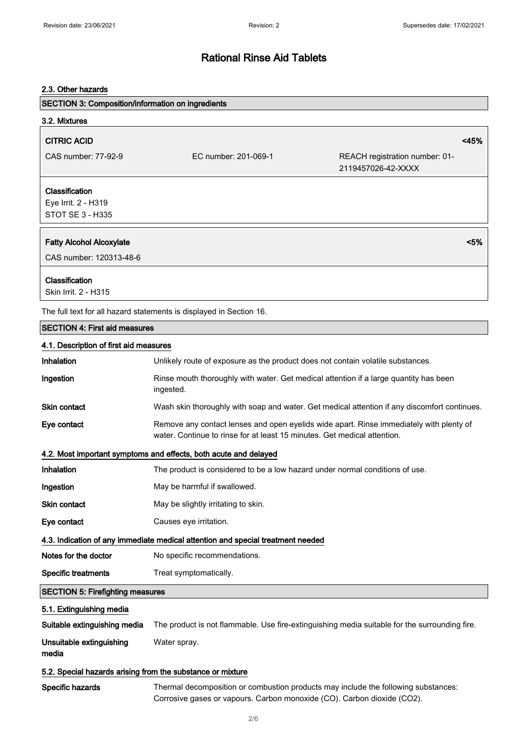## 2.3. Other hazards

| <b>SECTION 3: Composition/information on ingredients</b>   |                                                                                                                                                                     |                                                      |
|------------------------------------------------------------|---------------------------------------------------------------------------------------------------------------------------------------------------------------------|------------------------------------------------------|
| 3.2. Mixtures                                              |                                                                                                                                                                     |                                                      |
| <b>CITRIC ACID</b>                                         |                                                                                                                                                                     | <45%                                                 |
| CAS number: 77-92-9                                        | EC number: 201-069-1                                                                                                                                                | REACH registration number: 01-<br>2119457026-42-XXXX |
| Classification<br>Eye Irrit. 2 - H319<br>STOT SE 3 - H335  |                                                                                                                                                                     |                                                      |
| <b>Fatty Alcohol Alcoxylate</b><br>CAS number: 120313-48-6 |                                                                                                                                                                     | < 5%                                                 |
| Classification<br>Skin Irrit. 2 - H315                     |                                                                                                                                                                     |                                                      |
|                                                            | The full text for all hazard statements is displayed in Section 16.                                                                                                 |                                                      |
| <b>SECTION 4: First aid measures</b>                       |                                                                                                                                                                     |                                                      |
| 4.1. Description of first aid measures                     |                                                                                                                                                                     |                                                      |
| Inhalation                                                 | Unlikely route of exposure as the product does not contain volatile substances.                                                                                     |                                                      |
| Ingestion                                                  | Rinse mouth thoroughly with water. Get medical attention if a large quantity has been<br>ingested.                                                                  |                                                      |
| <b>Skin contact</b>                                        | Wash skin thoroughly with soap and water. Get medical attention if any discomfort continues.                                                                        |                                                      |
| Eye contact                                                | Remove any contact lenses and open eyelids wide apart. Rinse immediately with plenty of<br>water. Continue to rinse for at least 15 minutes. Get medical attention. |                                                      |
|                                                            | 4.2. Most important symptoms and effects, both acute and delayed                                                                                                    |                                                      |
| Inhalation                                                 | The product is considered to be a low hazard under normal conditions of use.                                                                                        |                                                      |
| Ingestion                                                  | May be harmful if swallowed.                                                                                                                                        |                                                      |
| Skin contact                                               | May be slightly irritating to skin.                                                                                                                                 |                                                      |
| Eye contact                                                | Causes eye irritation.                                                                                                                                              |                                                      |
|                                                            | 4.3. Indication of any immediate medical attention and special treatment needed                                                                                     |                                                      |
| Notes for the doctor                                       | No specific recommendations.                                                                                                                                        |                                                      |
| <b>Specific treatments</b>                                 | Treat symptomatically.                                                                                                                                              |                                                      |
| <b>SECTION 5: Firefighting measures</b>                    |                                                                                                                                                                     |                                                      |
| 5.1. Extinguishing media                                   |                                                                                                                                                                     |                                                      |
| Suitable extinguishing media                               | The product is not flammable. Use fire-extinguishing media suitable for the surrounding fire.                                                                       |                                                      |
| Unsuitable extinguishing<br>media                          | Water spray.                                                                                                                                                        |                                                      |
| 5.2. Special hazards arising from the substance or mixture |                                                                                                                                                                     |                                                      |
| Specific hazards                                           | Thermal decomposition or combustion products may include the following substances:<br>Corrosive gases or vapours. Carbon monoxide (CO). Carbon dioxide (CO2).       |                                                      |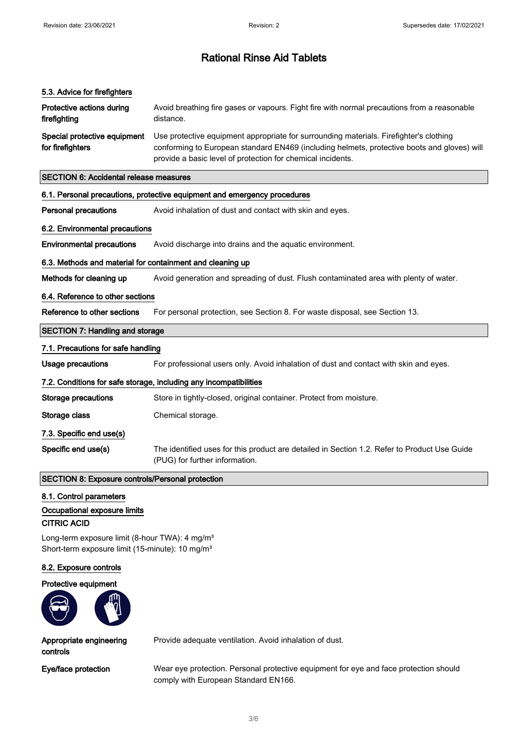#### 5.3. Advice for firefighters

| Protective actions during<br>firefighting | Avoid breathing fire gases or vapours. Fight fire with normal precautions from a reasonable<br>distance. |
|-------------------------------------------|----------------------------------------------------------------------------------------------------------|
| Special protective equipment              | Use protective equipment appropriate for surrounding materials. Firefighter's clothing                   |
| for firefighters                          | conforming to European standard EN469 (including helmets, protective boots and gloves) will              |

provide a basic level of protection for chemical incidents.

#### SECTION 6: Accidental release measures

#### 6.1. Personal precautions, protective equipment and emergency procedures

Personal precautions Avoid inhalation of dust and contact with skin and eyes.

## 6.2. Environmental precautions

**Environmental precautions** Avoid discharge into drains and the aquatic environment.

## 6.3. Methods and material for containment and cleaning up

Methods for cleaning up Avoid generation and spreading of dust. Flush contaminated area with plenty of water.

#### 6.4. Reference to other sections

Reference to other sections For personal protection, see Section 8. For waste disposal, see Section 13.

#### SECTION 7: Handling and storage

#### 7.1. Precautions for safe handling

Usage precautions For professional users only. Avoid inhalation of dust and contact with skin and eyes.

#### 7.2. Conditions for safe storage, including any incompatibilities

| <b>SECTION 8: Exposure controls/Personal protection</b> |                                                                                                                                |
|---------------------------------------------------------|--------------------------------------------------------------------------------------------------------------------------------|
| Specific end use(s)                                     | The identified uses for this product are detailed in Section 1.2. Refer to Product Use Guide<br>(PUG) for further information. |
| 7.3. Specific end use(s)                                |                                                                                                                                |
| Storage class                                           | Chemical storage.                                                                                                              |
| Storage precautions                                     | Store in tightly-closed, original container. Protect from moisture.                                                            |
|                                                         |                                                                                                                                |

# 8.1. Control parameters

# Occupational exposure limits

# CITRIC ACID

Long-term exposure limit (8-hour TWA): 4 mg/m<sup>3</sup> Short-term exposure limit (15-minute): 10 mg/m<sup>3</sup>

#### 8.2. Exposure controls

#### Protective equipment



Appropriate engineering controls

Provide adequate ventilation. Avoid inhalation of dust.

Eye/face protection Wear eye protection. Personal protective equipment for eye and face protection should comply with European Standard EN166.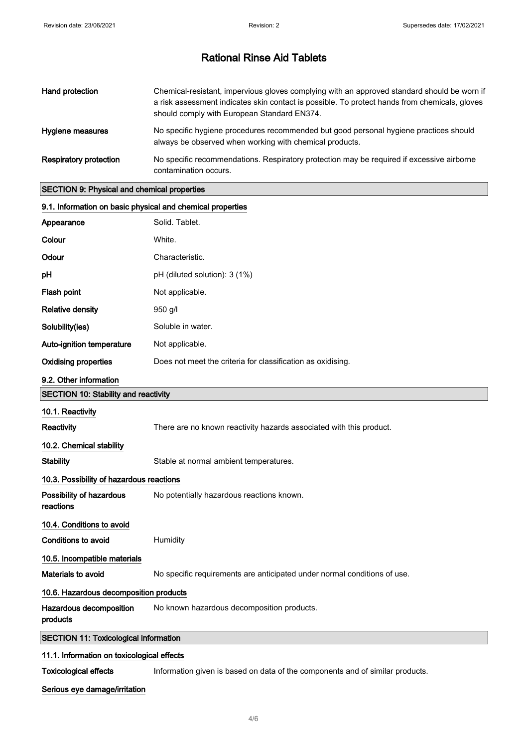| Hand protection        | Chemical-resistant, impervious gloves complying with an approved standard should be worn if<br>a risk assessment indicates skin contact is possible. To protect hands from chemicals, gloves<br>should comply with European Standard EN374. |
|------------------------|---------------------------------------------------------------------------------------------------------------------------------------------------------------------------------------------------------------------------------------------|
| Hygiene measures       | No specific hygiene procedures recommended but good personal hygiene practices should<br>always be observed when working with chemical products.                                                                                            |
| Respiratory protection | No specific recommendations. Respiratory protection may be required if excessive airborne<br>contamination occurs.                                                                                                                          |

# SECTION 9: Physical and chemical properties

| 9.1. Information on basic physical and chemical properties |                                                                               |
|------------------------------------------------------------|-------------------------------------------------------------------------------|
| Appearance                                                 | Solid. Tablet.                                                                |
| Colour                                                     | White.                                                                        |
| Odour                                                      | Characteristic.                                                               |
| рH                                                         | pH (diluted solution): 3 (1%)                                                 |
| Flash point                                                | Not applicable.                                                               |
| <b>Relative density</b>                                    | $950$ g/l                                                                     |
| Solubility(ies)                                            | Soluble in water.                                                             |
| Auto-ignition temperature                                  | Not applicable.                                                               |
| <b>Oxidising properties</b>                                | Does not meet the criteria for classification as oxidising.                   |
| 9.2. Other information                                     |                                                                               |
| <b>SECTION 10: Stability and reactivity</b>                |                                                                               |
| 10.1. Reactivity                                           |                                                                               |
| <b>Reactivity</b>                                          | There are no known reactivity hazards associated with this product.           |
| 10.2. Chemical stability                                   |                                                                               |
| <b>Stability</b>                                           | Stable at normal ambient temperatures.                                        |
| 10.3. Possibility of hazardous reactions                   |                                                                               |
| Possibility of hazardous<br>reactions                      | No potentially hazardous reactions known.                                     |
| 10.4. Conditions to avoid                                  |                                                                               |
| <b>Conditions to avoid</b>                                 | Humidity                                                                      |
| 10.5. Incompatible materials                               |                                                                               |
| Materials to avoid                                         | No specific requirements are anticipated under normal conditions of use.      |
| 10.6. Hazardous decomposition products                     |                                                                               |
| Hazardous decomposition<br>products                        | No known hazardous decomposition products.                                    |
| <b>SECTION 11: Toxicological information</b>               |                                                                               |
| 11.1. Information on toxicological effects                 |                                                                               |
| <b>Toxicological effects</b>                               | Information given is based on data of the components and of similar products. |

## Serious eye damage/irritation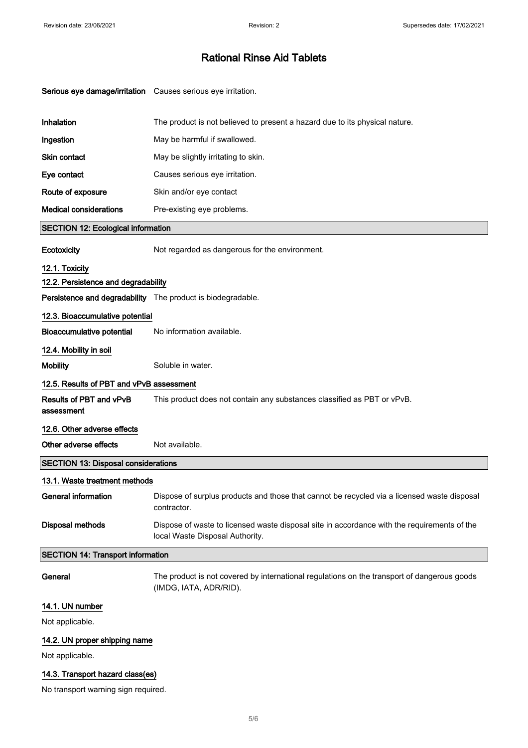| Serious eye damage/irritation Causes serious eye irritation. |                                                                                                                                |
|--------------------------------------------------------------|--------------------------------------------------------------------------------------------------------------------------------|
| Inhalation                                                   | The product is not believed to present a hazard due to its physical nature.                                                    |
| Ingestion                                                    | May be harmful if swallowed.                                                                                                   |
| <b>Skin contact</b>                                          | May be slightly irritating to skin.                                                                                            |
| Eye contact                                                  | Causes serious eye irritation.                                                                                                 |
| Route of exposure                                            | Skin and/or eye contact                                                                                                        |
| <b>Medical considerations</b>                                | Pre-existing eye problems.                                                                                                     |
| <b>SECTION 12: Ecological information</b>                    |                                                                                                                                |
| Ecotoxicity                                                  | Not regarded as dangerous for the environment.                                                                                 |
| 12.1. Toxicity                                               |                                                                                                                                |
| 12.2. Persistence and degradability                          |                                                                                                                                |
| Persistence and degradability The product is biodegradable.  |                                                                                                                                |
| 12.3. Bioaccumulative potential                              |                                                                                                                                |
| <b>Bioaccumulative potential</b>                             | No information available.                                                                                                      |
| 12.4. Mobility in soil                                       |                                                                                                                                |
| <b>Mobility</b>                                              | Soluble in water.                                                                                                              |
| 12.5. Results of PBT and vPvB assessment                     |                                                                                                                                |
| Results of PBT and vPvB<br>assessment                        | This product does not contain any substances classified as PBT or vPvB.                                                        |
| 12.6. Other adverse effects                                  |                                                                                                                                |
| Other adverse effects                                        | Not available.                                                                                                                 |
| <b>SECTION 13: Disposal considerations</b>                   |                                                                                                                                |
| 13.1. Waste treatment methods                                |                                                                                                                                |
| <b>General information</b>                                   | Dispose of surplus products and those that cannot be recycled via a licensed waste disposal<br>contractor.                     |
| <b>Disposal methods</b>                                      | Dispose of waste to licensed waste disposal site in accordance with the requirements of the<br>local Waste Disposal Authority. |
| <b>SECTION 14: Transport information</b>                     |                                                                                                                                |
| General                                                      | The product is not covered by international regulations on the transport of dangerous goods<br>(IMDG, IATA, ADR/RID).          |
| 14.1. UN number                                              |                                                                                                                                |
| Not applicable.                                              |                                                                                                                                |
| 14.2. UN proper shipping name                                |                                                                                                                                |
| Not applicable.                                              |                                                                                                                                |

## 14.3. Transport hazard class(es)

No transport warning sign required.